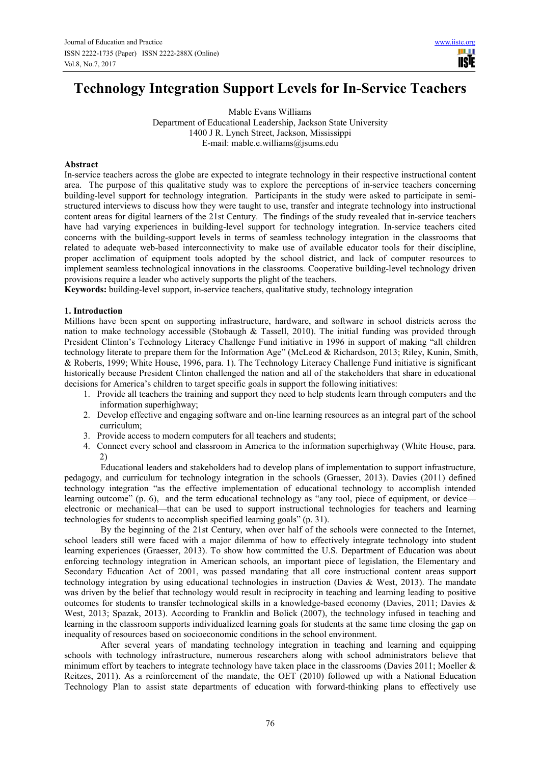**TISIE** 

# **Technology Integration Support Levels for In-Service Teachers**

Mable Evans Williams Department of Educational Leadership, Jackson State University 1400 J R. Lynch Street, Jackson, Mississippi E-mail: mable.e.williams@jsums.edu

# **Abstract**

In-service teachers across the globe are expected to integrate technology in their respective instructional content area. The purpose of this qualitative study was to explore the perceptions of in-service teachers concerning building-level support for technology integration. Participants in the study were asked to participate in semistructured interviews to discuss how they were taught to use, transfer and integrate technology into instructional content areas for digital learners of the 21st Century. The findings of the study revealed that in-service teachers have had varying experiences in building-level support for technology integration. In-service teachers cited concerns with the building-support levels in terms of seamless technology integration in the classrooms that related to adequate web-based interconnectivity to make use of available educator tools for their discipline, proper acclimation of equipment tools adopted by the school district, and lack of computer resources to implement seamless technological innovations in the classrooms. Cooperative building-level technology driven provisions require a leader who actively supports the plight of the teachers.

**Keywords:** building-level support, in-service teachers, qualitative study, technology integration

## **1. Introduction**

Millions have been spent on supporting infrastructure, hardware, and software in school districts across the nation to make technology accessible (Stobaugh  $\&$  Tassell, 2010). The initial funding was provided through President Clinton's Technology Literacy Challenge Fund initiative in 1996 in support of making "all children technology literate to prepare them for the Information Age" (McLeod & Richardson, 2013; Riley, Kunin, Smith, & Roberts, 1999; White House, 1996, para. 1). The Technology Literacy Challenge Fund initiative is significant historically because President Clinton challenged the nation and all of the stakeholders that share in educational decisions for America's children to target specific goals in support the following initiatives:

- 1. Provide all teachers the training and support they need to help students learn through computers and the information superhighway;
- 2. Develop effective and engaging software and on-line learning resources as an integral part of the school curriculum;
- 3. Provide access to modern computers for all teachers and students;
- 4. Connect every school and classroom in America to the information superhighway (White House, para. 2)

Educational leaders and stakeholders had to develop plans of implementation to support infrastructure, pedagogy, and curriculum for technology integration in the schools (Graesser, 2013). Davies (2011) defined technology integration "as the effective implementation of educational technology to accomplish intended learning outcome" (p. 6), and the term educational technology as "any tool, piece of equipment, or device electronic or mechanical—that can be used to support instructional technologies for teachers and learning technologies for students to accomplish specified learning goals" (p. 31).

By the beginning of the 21st Century, when over half of the schools were connected to the Internet, school leaders still were faced with a major dilemma of how to effectively integrate technology into student learning experiences (Graesser, 2013). To show how committed the U.S. Department of Education was about enforcing technology integration in American schools, an important piece of legislation, the Elementary and Secondary Education Act of 2001, was passed mandating that all core instructional content areas support technology integration by using educational technologies in instruction (Davies & West, 2013). The mandate was driven by the belief that technology would result in reciprocity in teaching and learning leading to positive outcomes for students to transfer technological skills in a knowledge-based economy (Davies, 2011; Davies & West, 2013; Spazak, 2013). According to Franklin and Bolick (2007), the technology infused in teaching and learning in the classroom supports individualized learning goals for students at the same time closing the gap on inequality of resources based on socioeconomic conditions in the school environment.

After several years of mandating technology integration in teaching and learning and equipping schools with technology infrastructure, numerous researchers along with school administrators believe that minimum effort by teachers to integrate technology have taken place in the classrooms (Davies 2011; Moeller  $\&$ Reitzes, 2011). As a reinforcement of the mandate, the OET (2010) followed up with a National Education Technology Plan to assist state departments of education with forward-thinking plans to effectively use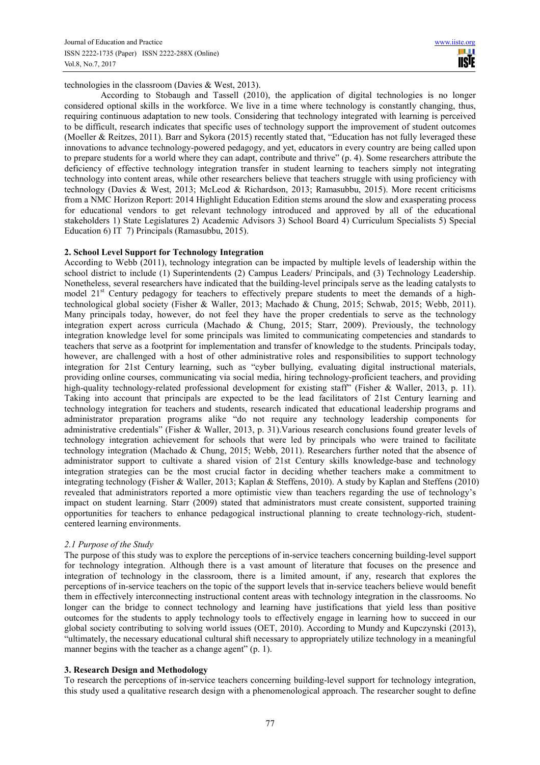technologies in the classroom (Davies & West, 2013).

According to Stobaugh and Tassell (2010), the application of digital technologies is no longer considered optional skills in the workforce. We live in a time where technology is constantly changing, thus, requiring continuous adaptation to new tools. Considering that technology integrated with learning is perceived to be difficult, research indicates that specific uses of technology support the improvement of student outcomes (Moeller & Reitzes, 2011). Barr and Sykora (2015) recently stated that, "Education has not fully leveraged these innovations to advance technology-powered pedagogy, and yet, educators in every country are being called upon to prepare students for a world where they can adapt, contribute and thrive" (p. 4). Some researchers attribute the deficiency of effective technology integration transfer in student learning to teachers simply not integrating technology into content areas, while other researchers believe that teachers struggle with using proficiency with technology (Davies & West, 2013; McLeod & Richardson, 2013; Ramasubbu, 2015). More recent criticisms from a NMC Horizon Report: 2014 Highlight Education Edition stems around the slow and exasperating process for educational vendors to get relevant technology introduced and approved by all of the educational stakeholders 1) State Legislatures 2) Academic Advisors 3) School Board 4) Curriculum Specialists 5) Special Education 6) IT 7) Principals (Ramasubbu, 2015).

## **2. School Level Support for Technology Integration**

According to Webb (2011), technology integration can be impacted by multiple levels of leadership within the school district to include (1) Superintendents (2) Campus Leaders/ Principals, and (3) Technology Leadership. Nonetheless, several researchers have indicated that the building-level principals serve as the leading catalysts to model 21<sup>st</sup> Century pedagogy for teachers to effectively prepare students to meet the demands of a hightechnological global society (Fisher & Waller, 2013; Machado & Chung, 2015; Schwab, 2015; Webb, 2011). Many principals today, however, do not feel they have the proper credentials to serve as the technology integration expert across curricula (Machado & Chung, 2015; Starr, 2009). Previously, the technology integration knowledge level for some principals was limited to communicating competencies and standards to teachers that serve as a footprint for implementation and transfer of knowledge to the students. Principals today, however, are challenged with a host of other administrative roles and responsibilities to support technology integration for 21st Century learning, such as "cyber bullying, evaluating digital instructional materials, providing online courses, communicating via social media, hiring technology-proficient teachers, and providing high-quality technology-related professional development for existing staff" (Fisher & Waller, 2013, p. 11). Taking into account that principals are expected to be the lead facilitators of 21st Century learning and technology integration for teachers and students, research indicated that educational leadership programs and administrator preparation programs alike "do not require any technology leadership components for administrative credentials" (Fisher & Waller, 2013, p. 31).Various research conclusions found greater levels of technology integration achievement for schools that were led by principals who were trained to facilitate technology integration (Machado & Chung, 2015; Webb, 2011). Researchers further noted that the absence of administrator support to cultivate a shared vision of 21st Century skills knowledge-base and technology integration strategies can be the most crucial factor in deciding whether teachers make a commitment to integrating technology (Fisher & Waller, 2013; Kaplan & Steffens, 2010). A study by Kaplan and Steffens (2010) revealed that administrators reported a more optimistic view than teachers regarding the use of technology's impact on student learning. Starr (2009) stated that administrators must create consistent, supported training opportunities for teachers to enhance pedagogical instructional planning to create technology-rich, studentcentered learning environments.

# *2.1 Purpose of the Study*

The purpose of this study was to explore the perceptions of in-service teachers concerning building-level support for technology integration. Although there is a vast amount of literature that focuses on the presence and integration of technology in the classroom, there is a limited amount, if any, research that explores the perceptions of in-service teachers on the topic of the support levels that in-service teachers believe would benefit them in effectively interconnecting instructional content areas with technology integration in the classrooms. No longer can the bridge to connect technology and learning have justifications that yield less than positive outcomes for the students to apply technology tools to effectively engage in learning how to succeed in our global society contributing to solving world issues (OET, 2010). According to Mundy and Kupczynski (2013), "ultimately, the necessary educational cultural shift necessary to appropriately utilize technology in a meaningful manner begins with the teacher as a change agent" (p. 1).

# **3. Research Design and Methodology**

To research the perceptions of in-service teachers concerning building-level support for technology integration, this study used a qualitative research design with a phenomenological approach. The researcher sought to define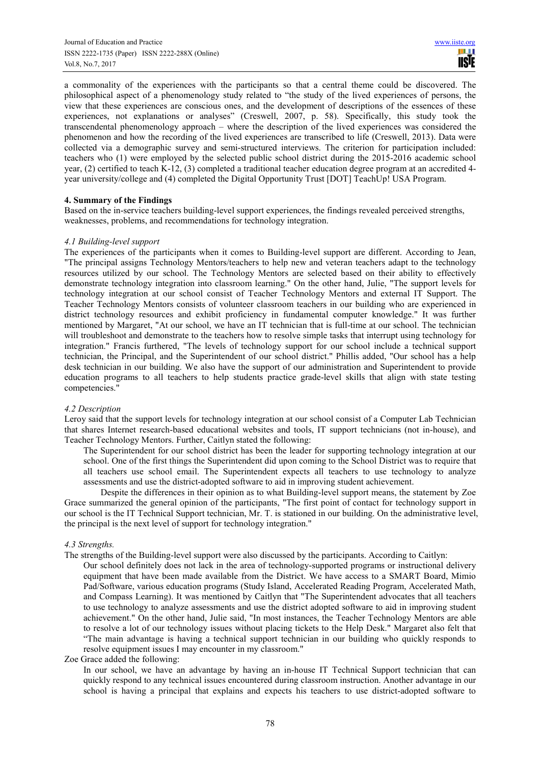a commonality of the experiences with the participants so that a central theme could be discovered. The philosophical aspect of a phenomenology study related to "the study of the lived experiences of persons, the view that these experiences are conscious ones, and the development of descriptions of the essences of these experiences, not explanations or analyses" (Creswell, 2007, p. 58). Specifically, this study took the transcendental phenomenology approach – where the description of the lived experiences was considered the phenomenon and how the recording of the lived experiences are transcribed to life (Creswell, 2013). Data were collected via a demographic survey and semi-structured interviews. The criterion for participation included: teachers who (1) were employed by the selected public school district during the 2015-2016 academic school year, (2) certified to teach K-12, (3) completed a traditional teacher education degree program at an accredited 4 year university/college and (4) completed the Digital Opportunity Trust [DOT] TeachUp! USA Program.

## **4. Summary of the Findings**

Based on the in-service teachers building-level support experiences, the findings revealed perceived strengths, weaknesses, problems, and recommendations for technology integration.

## *4.1 Building-level support*

The experiences of the participants when it comes to Building-level support are different. According to Jean, "The principal assigns Technology Mentors/teachers to help new and veteran teachers adapt to the technology resources utilized by our school. The Technology Mentors are selected based on their ability to effectively demonstrate technology integration into classroom learning." On the other hand, Julie, "The support levels for technology integration at our school consist of Teacher Technology Mentors and external IT Support. The Teacher Technology Mentors consists of volunteer classroom teachers in our building who are experienced in district technology resources and exhibit proficiency in fundamental computer knowledge." It was further mentioned by Margaret, "At our school, we have an IT technician that is full-time at our school. The technician will troubleshoot and demonstrate to the teachers how to resolve simple tasks that interrupt using technology for integration." Francis furthered, "The levels of technology support for our school include a technical support technician, the Principal, and the Superintendent of our school district." Phillis added, "Our school has a help desk technician in our building. We also have the support of our administration and Superintendent to provide education programs to all teachers to help students practice grade-level skills that align with state testing competencies."

#### *4.2 Description*

Leroy said that the support levels for technology integration at our school consist of a Computer Lab Technician that shares Internet research-based educational websites and tools, IT support technicians (not in-house), and Teacher Technology Mentors. Further, Caitlyn stated the following:

The Superintendent for our school district has been the leader for supporting technology integration at our school. One of the first things the Superintendent did upon coming to the School District was to require that all teachers use school email. The Superintendent expects all teachers to use technology to analyze assessments and use the district-adopted software to aid in improving student achievement.

Despite the differences in their opinion as to what Building-level support means, the statement by Zoe Grace summarized the general opinion of the participants, "The first point of contact for technology support in our school is the IT Technical Support technician, Mr. T. is stationed in our building. On the administrative level, the principal is the next level of support for technology integration."

# *4.3 Strengths.*

- The strengths of the Building-level support were also discussed by the participants. According to Caitlyn:
	- Our school definitely does not lack in the area of technology-supported programs or instructional delivery equipment that have been made available from the District. We have access to a SMART Board, Mimio Pad/Software, various education programs (Study Island, Accelerated Reading Program, Accelerated Math, and Compass Learning). It was mentioned by Caitlyn that "The Superintendent advocates that all teachers to use technology to analyze assessments and use the district adopted software to aid in improving student achievement." On the other hand, Julie said, "In most instances, the Teacher Technology Mentors are able to resolve a lot of our technology issues without placing tickets to the Help Desk." Margaret also felt that "The main advantage is having a technical support technician in our building who quickly responds to resolve equipment issues I may encounter in my classroom."

#### Zoe Grace added the following:

In our school, we have an advantage by having an in-house IT Technical Support technician that can quickly respond to any technical issues encountered during classroom instruction. Another advantage in our school is having a principal that explains and expects his teachers to use district-adopted software to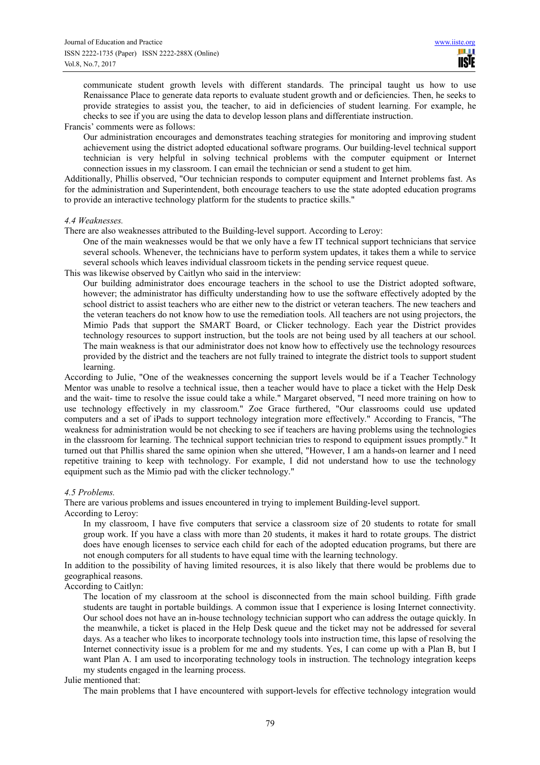communicate student growth levels with different standards. The principal taught us how to use Renaissance Place to generate data reports to evaluate student growth and or deficiencies. Then, he seeks to provide strategies to assist you, the teacher, to aid in deficiencies of student learning. For example, he checks to see if you are using the data to develop lesson plans and differentiate instruction.

#### Francis' comments were as follows:

Our administration encourages and demonstrates teaching strategies for monitoring and improving student achievement using the district adopted educational software programs. Our building-level technical support technician is very helpful in solving technical problems with the computer equipment or Internet connection issues in my classroom. I can email the technician or send a student to get him.

Additionally, Phillis observed, "Our technician responds to computer equipment and Internet problems fast. As for the administration and Superintendent, both encourage teachers to use the state adopted education programs to provide an interactive technology platform for the students to practice skills."

#### *4.4 Weaknesses.*

There are also weaknesses attributed to the Building-level support. According to Leroy:

- One of the main weaknesses would be that we only have a few IT technical support technicians that service several schools. Whenever, the technicians have to perform system updates, it takes them a while to service several schools which leaves individual classroom tickets in the pending service request queue.
- This was likewise observed by Caitlyn who said in the interview:
	- Our building administrator does encourage teachers in the school to use the District adopted software, however; the administrator has difficulty understanding how to use the software effectively adopted by the school district to assist teachers who are either new to the district or veteran teachers. The new teachers and the veteran teachers do not know how to use the remediation tools. All teachers are not using projectors, the Mimio Pads that support the SMART Board, or Clicker technology. Each year the District provides technology resources to support instruction, but the tools are not being used by all teachers at our school. The main weakness is that our administrator does not know how to effectively use the technology resources provided by the district and the teachers are not fully trained to integrate the district tools to support student learning.

According to Julie, "One of the weaknesses concerning the support levels would be if a Teacher Technology Mentor was unable to resolve a technical issue, then a teacher would have to place a ticket with the Help Desk and the wait- time to resolve the issue could take a while." Margaret observed, "I need more training on how to use technology effectively in my classroom." Zoe Grace furthered, "Our classrooms could use updated computers and a set of iPads to support technology integration more effectively." According to Francis, "The weakness for administration would be not checking to see if teachers are having problems using the technologies in the classroom for learning. The technical support technician tries to respond to equipment issues promptly." It turned out that Phillis shared the same opinion when she uttered, "However, I am a hands-on learner and I need repetitive training to keep with technology. For example, I did not understand how to use the technology equipment such as the Mimio pad with the clicker technology."

## *4.5 Problems.*

There are various problems and issues encountered in trying to implement Building-level support.

According to Leroy:

In my classroom, I have five computers that service a classroom size of 20 students to rotate for small group work. If you have a class with more than 20 students, it makes it hard to rotate groups. The district does have enough licenses to service each child for each of the adopted education programs, but there are not enough computers for all students to have equal time with the learning technology.

In addition to the possibility of having limited resources, it is also likely that there would be problems due to geographical reasons.

According to Caitlyn:

The location of my classroom at the school is disconnected from the main school building. Fifth grade students are taught in portable buildings. A common issue that I experience is losing Internet connectivity. Our school does not have an in-house technology technician support who can address the outage quickly. In the meanwhile, a ticket is placed in the Help Desk queue and the ticket may not be addressed for several days. As a teacher who likes to incorporate technology tools into instruction time, this lapse of resolving the Internet connectivity issue is a problem for me and my students. Yes, I can come up with a Plan B, but I want Plan A. I am used to incorporating technology tools in instruction. The technology integration keeps my students engaged in the learning process.

Julie mentioned that:

The main problems that I have encountered with support-levels for effective technology integration would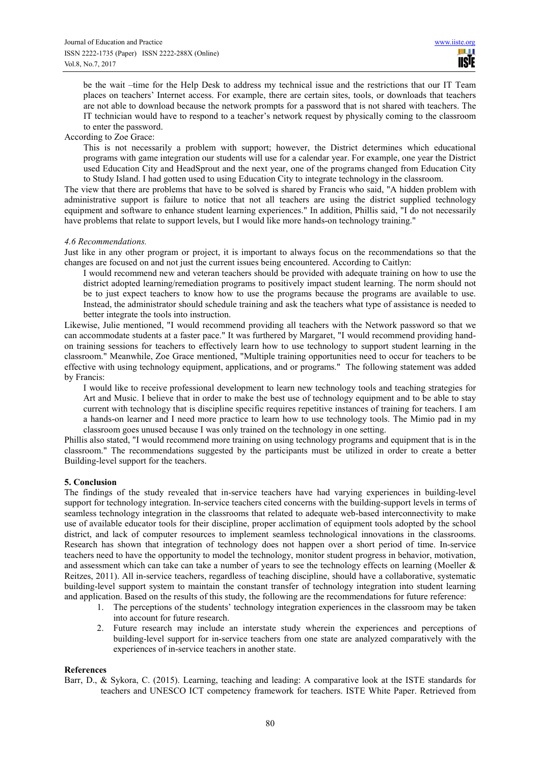be the wait –time for the Help Desk to address my technical issue and the restrictions that our IT Team places on teachers' Internet access. For example, there are certain sites, tools, or downloads that teachers are not able to download because the network prompts for a password that is not shared with teachers. The IT technician would have to respond to a teacher's network request by physically coming to the classroom to enter the password.

According to Zoe Grace:

This is not necessarily a problem with support; however, the District determines which educational programs with game integration our students will use for a calendar year. For example, one year the District used Education City and HeadSprout and the next year, one of the programs changed from Education City to Study Island. I had gotten used to using Education City to integrate technology in the classroom.

The view that there are problems that have to be solved is shared by Francis who said, "A hidden problem with administrative support is failure to notice that not all teachers are using the district supplied technology equipment and software to enhance student learning experiences." In addition, Phillis said, "I do not necessarily have problems that relate to support levels, but I would like more hands-on technology training."

## *4.6 Recommendations.*

Just like in any other program or project, it is important to always focus on the recommendations so that the changes are focused on and not just the current issues being encountered. According to Caitlyn:

I would recommend new and veteran teachers should be provided with adequate training on how to use the district adopted learning/remediation programs to positively impact student learning. The norm should not be to just expect teachers to know how to use the programs because the programs are available to use. Instead, the administrator should schedule training and ask the teachers what type of assistance is needed to better integrate the tools into instruction.

Likewise, Julie mentioned, "I would recommend providing all teachers with the Network password so that we can accommodate students at a faster pace." It was furthered by Margaret, "I would recommend providing handon training sessions for teachers to effectively learn how to use technology to support student learning in the classroom." Meanwhile, Zoe Grace mentioned, "Multiple training opportunities need to occur for teachers to be effective with using technology equipment, applications, and or programs." The following statement was added by Francis:

I would like to receive professional development to learn new technology tools and teaching strategies for Art and Music. I believe that in order to make the best use of technology equipment and to be able to stay current with technology that is discipline specific requires repetitive instances of training for teachers. I am a hands-on learner and I need more practice to learn how to use technology tools. The Mimio pad in my classroom goes unused because I was only trained on the technology in one setting.

Phillis also stated, "I would recommend more training on using technology programs and equipment that is in the classroom." The recommendations suggested by the participants must be utilized in order to create a better Building-level support for the teachers.

# **5. Conclusion**

The findings of the study revealed that in-service teachers have had varying experiences in building-level support for technology integration. In-service teachers cited concerns with the building-support levels in terms of seamless technology integration in the classrooms that related to adequate web-based interconnectivity to make use of available educator tools for their discipline, proper acclimation of equipment tools adopted by the school district, and lack of computer resources to implement seamless technological innovations in the classrooms. Research has shown that integration of technology does not happen over a short period of time. In-service teachers need to have the opportunity to model the technology, monitor student progress in behavior, motivation, and assessment which can take can take a number of years to see the technology effects on learning (Moeller & Reitzes, 2011). All in-service teachers, regardless of teaching discipline, should have a collaborative, systematic building-level support system to maintain the constant transfer of technology integration into student learning and application. Based on the results of this study, the following are the recommendations for future reference:

- 1. The perceptions of the students' technology integration experiences in the classroom may be taken into account for future research.
- 2. Future research may include an interstate study wherein the experiences and perceptions of building-level support for in-service teachers from one state are analyzed comparatively with the experiences of in-service teachers in another state.

#### **References**

Barr, D., & Sykora, C. (2015). Learning, teaching and leading: A comparative look at the ISTE standards for teachers and UNESCO ICT competency framework for teachers. ISTE White Paper. Retrieved from